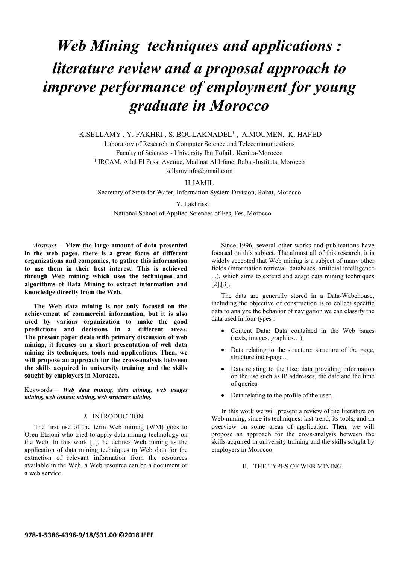# *Web Mining techniques and applications : literature review and a proposal approach to improve performance of employment for young graduate in Morocco*

K.SELLAMY, Y. FAKHRI, S. BOULAKNADEL<sup>1</sup>, A.MOUMEN, K. HAFED

Laboratory of Research in Computer Science and Telecommunications Faculty of Sciences - University Ibn Tofail , Kenitra-Morocco <sup>1</sup> IRCAM, Allal El Fassi Avenue, Madinat Al Irfane, Rabat-Instituts, Morocco sellamyinfo@gmail.com

# H JAMIL

Secretary of State for Water, Information System Division, Rabat, Morocco

 Y. Lakhrissi National School of Applied Sciences of Fes, Fes, Morocco

*Abstract*— **View the large amount of data presented in the web pages, there is a great focus of different organizations and companies, to gather this information to use them in their best interest. This is achieved through Web mining which uses the techniques and algorithms of Data Mining to extract information and knowledge directly from the Web.** 

**The Web data mining is not only focused on the achievement of commercial information, but it is also used by various organization to make the good predictions and decisions in a different areas. The present paper deals with primary discussion of web mining, it focuses on a short presentation of web data mining its techniques, tools and applications. Then, we will propose an approach for the cross-analysis between the skills acquired in university training and the skills sought by employers in Morocco.** 

Keywords— *Web data mining, data mining, web usages mining, web content mining, web structure mining.*

## *I.* INTRODUCTION

The first use of the term Web mining (WM) goes to Oren Etzioni who tried to apply data mining technology on the Web. In this work [1], he defines Web mining as the application of data mining techniques to Web data for the extraction of relevant information from the resources available in the Web, a Web resource can be a document or a web service.

Since 1996, several other works and publications have focused on this subject. The almost all of this research, it is widely accepted that Web mining is a subject of many other fields (information retrieval, databases, artificial intelligence ...), which aims to extend and adapt data mining techniques [2],[3].

The data are generally stored in a Data-Wabehouse, including the objective of construction is to collect specific data to analyze the behavior of navigation we can classify the data used in four types :

- Content Data: Data contained in the Web pages (texts, images, graphics…).
- Data relating to the structure: structure of the page, structure inter-page…
- Data relating to the Use: data providing information on the use such as IP addresses, the date and the time of queries.
- Data relating to the profile of the user.

In this work we will present a review of the literature on Web mining, since its techniques: last trend, its tools, and an overview on some areas of application. Then, we will propose an approach for the cross-analysis between the skills acquired in university training and the skills sought by employers in Morocco.

## II. THE TYPES OF WEB MINING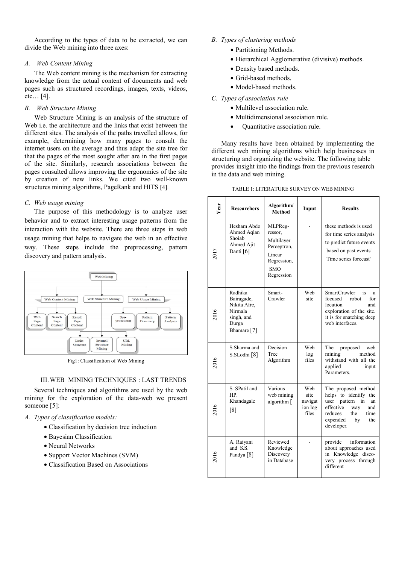According to the types of data to be extracted, we can divide the Web mining into three axes:

#### *A. Web Content Mining*

The Web content mining is the mechanism for extracting knowledge from the actual content of documents and web pages such as structured recordings, images, texts, videos, etc… [4].

#### *B. Web Structure Mining*

Web Structure Mining is an analysis of the structure of Web i.e. the architecture and the links that exist between the different sites. The analysis of the paths travelled allows, for example, determining how many pages to consult the internet users on the average and thus adapt the site tree for that the pages of the most sought after are in the first pages of the site. Similarly, research associations between the pages consulted allows improving the ergonomics of the site by creation of new links. We cited two well-known structures mining algorithms, PageRank and HITS [4].

## *C. Web usage mining*

The purpose of this methodology is to analyze user behavior and to extract interesting usage patterns from the interaction with the website. There are three steps in web usage mining that helps to navigate the web in an effective way. These steps include the preprocessing, pattern discovery and pattern analysis.



Fig1: Classification of Web Mining

## III.WEB MINING TECHNIQUES : LAST TRENDS

Several techniques and algorithms are used by the web mining for the exploration of the data-web we present someone [5]:

## *A. Types of classification models:*

- Classification by decision tree induction
- Bayesian Classification
- Neural Networks
- Support Vector Machines (SVM)
- Classification Based on Associations
- *B. Types of clustering methods* 
	- Partitioning Methods.
	- Hierarchical Agglomerative (divisive) methods.
	- Density based methods.
	- Grid-based methods.
	- Model-based methods.

## *C. Types of association rule*

- Multilevel association rule.
- Multidimensional association rule.
- Quantitative association rule.

Many results have been obtained by implementing the different web mining algorithms which help businesses in structuring and organizing the website. The following table provides insight into the findings from the previous research in the data and web mining.

|  | Year | Algorithm/<br><b>Researchers</b><br><b>Method</b>                                                 |                                                                                                      | Input                                      | <b>Results</b>                                                                                                                                                          |
|--|------|---------------------------------------------------------------------------------------------------|------------------------------------------------------------------------------------------------------|--------------------------------------------|-------------------------------------------------------------------------------------------------------------------------------------------------------------------------|
|  | 2017 | Hesham Abdo<br>Ahmed Aqlan<br>Shoiab<br>Ahmed Ajit<br>Danti [6]                                   | MLPReg-<br>ressor,<br>Multilayer<br>Perceptron,<br>Linear<br>Regression,<br><b>SMO</b><br>Regression |                                            | these methods is used<br>for time series analysis<br>to predict future events<br>based on past events'<br>Time series forecast'                                         |
|  | 2016 | Radhika<br>Bairagade,<br>Nikita Afre,<br>Nirmala<br>singh, and<br>Durga<br>Bhamare <sup>[7]</sup> | Smart-<br>Crawler                                                                                    | Web<br>site                                | SmartCrawler<br>is<br>a<br>focused<br>robot<br>for<br>location<br>and<br>exploration of the site.<br>it is for snatching deep<br>web interfaces.                        |
|  | 2016 | S.Sharma and<br>S.SLodhi <sup>[8]</sup>                                                           | Decision<br>Tree<br>Algorithm                                                                        | Web<br>log<br>files                        | The<br>proposed<br>web<br>method<br>mining<br>withstand with all the<br>applied<br>input<br>Parameters.                                                                 |
|  | 2016 | S. SPatil and<br>HP.<br>Khandagale<br>$\lceil 8 \rceil$                                           | Various<br>web mining<br>algorithm [                                                                 | Web<br>site<br>navigat<br>ion log<br>files | The proposed method<br>helps to identify the<br>pattern<br>in<br>user<br>an<br>effective<br>way<br>and<br>reduces<br>the<br>time<br>expended<br>by<br>the<br>developer. |
|  | 2016 | A. Raiyani<br>and S.S.<br>Pandya <sup>[8]</sup>                                                   | Reviewed<br>Knowledge<br>Discovery<br>in Database                                                    |                                            | information<br>provide<br>about approaches used<br>in Knowledge disco-<br>very process through<br>different                                                             |

| TABLE 1: LITERATURE SURVEY ON WEB MINING |  |
|------------------------------------------|--|
|                                          |  |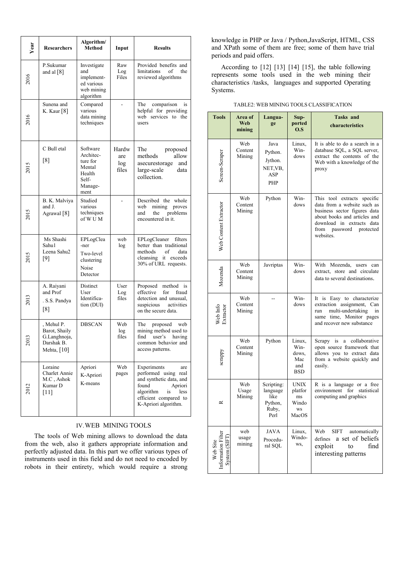| Year    | <b>Researchers</b>                                                       | Algorithm/<br><b>Method</b>                                                       | Input                        | <b>Results</b>                                                                                                                                                               |
|---------|--------------------------------------------------------------------------|-----------------------------------------------------------------------------------|------------------------------|------------------------------------------------------------------------------------------------------------------------------------------------------------------------------|
| 2016    | P.Sukumar<br>and al $[8]$                                                | Investigate<br>and<br>implement-<br>ed various<br>web mining<br>algorithm         | Raw<br>Log<br>Files          | Provided benefits and<br>limitations<br>of<br>the<br>reviewed algorithms                                                                                                     |
| 2016    | Sunena and<br>K. Kaur $[8]$                                              | Compared<br>various<br>data mining<br>techniques                                  |                              | The<br>comparison<br>is.<br>helpful for providing<br>web services to the<br>users                                                                                            |
| 2015    | C Bull etal<br>[8]                                                       | Software<br>Architec-<br>ture for<br>Mental<br>Health<br>Self-<br>Manage-<br>ment | Hardw<br>are<br>log<br>files | The<br>proposed<br>methods<br>allow<br>and<br>asecurestorage<br>large-scale<br>data<br>collection.                                                                           |
| 2015    | B. K. Malviya<br>and J.<br>Agrawal <sup>[8]</sup>                        | Studied<br>various<br>techniques<br>of W U M                                      |                              | Described the whole<br>web<br>mining<br>proves<br>and<br>problems<br>the<br>encountered in it.                                                                               |
| 2015    | Ms Shashi<br>Sahu l<br>Leena Sahu2<br>$[9]$                              | EPLogClea<br>-ner<br>Two-level<br>clustering<br>Noise<br>Detector                 | web<br>log                   | EPLogCleaner<br>filters<br>better than traditional<br>methods<br>of<br>data<br>cleansing<br>it exceeds<br>30% of URL requests.                                               |
| 2013    | A. Raiyani<br>and Prof<br>. S.S. Pandya<br>[8]                           | Distinct<br>User<br>Identifica-<br>tion (DUI)                                     | User<br>Log<br>files         | Proposed<br>method is<br>effective<br>for<br>fraud<br>detection and unusual.<br>suspicious<br>activities<br>on the secure data.                                              |
| 3<br>20 | , Mehul P.<br>Barot, Shaily<br>G.Langhnoja,<br>Darshak B.<br>Mehta, [10] | <b>DBSCAN</b>                                                                     | Web<br>log<br>files          | The<br>proposed<br>web<br>mining method used to<br>find user's having<br>common behavior and<br>access patterns.                                                             |
|         | Loraine<br>Charlet Annie<br>M.C, Ashok<br>Kumar D<br>$[11]$              | Apriori<br>K-Apriori<br>K-means                                                   | Web<br>pages                 | Experiments<br>are<br>performed using real<br>and synthetic data, and<br>found<br>Apriori<br>algorithm<br>less<br><i>is</i><br>efficient compared to<br>K-Apriori algorithm. |

# IV.WEB MINING TOOLS

The tools of Web mining allows to download the data from the web, also it gathers appropriate information and perfectly adjusted data. In this part we offer various types of instruments used in this field and do not need to encoded by robots in their entirety, which would require a strong knowledge in PHP or Java / Python,JavaScript, HTML, CSS and XPath some of them are free; some of them have trial periods and paid offers.

According to [12] [13] [14] [15], the table following represents some tools used in the web mining their characteristics /tasks, languages and supported Operating Systems.

| TABLE2: WEB MINING TOOLS CLASSIFICATION |  |  |
|-----------------------------------------|--|--|
|                                         |  |  |

| <b>Tools</b>                                    | Area of                  |                                                             |                                                      | <b>Tasks and</b>                                                                                                                                                                                      |
|-------------------------------------------------|--------------------------|-------------------------------------------------------------|------------------------------------------------------|-------------------------------------------------------------------------------------------------------------------------------------------------------------------------------------------------------|
|                                                 | <b>Web</b><br>mining     | Langua-<br>ge                                               | Sup-<br>ported<br>0.5                                | characteristics                                                                                                                                                                                       |
| Screen-Scraper                                  | Web<br>Content<br>Mining | Java<br>Python.<br>Jython.<br>NET, VB,<br><b>ASP</b><br>PHP | Linux,<br>Win-<br>dows                               | It is able to do a search in a<br>database SQL, a SQL server,<br>extract the contents of the<br>Web with a knowledge of the<br>proxy                                                                  |
| Web Content Extractor                           | Web<br>Content<br>Mining | Python                                                      | Win-<br>dows                                         | This tool extracts specific<br>data from a website such as<br>business sector figures data<br>about books and articles and<br>download in extracts data<br>from<br>password<br>protected<br>websites. |
| Mozenda                                         | Web<br>Content<br>Mining | Javriptas                                                   | Win-<br>dows                                         | With Mozenda,<br>users can<br>extract, store and circulate<br>data to several destinations.                                                                                                           |
| Web Info<br>Extractor                           | Web<br>Content<br>Mining |                                                             | Win-<br>dows                                         | It is Easy to characterize<br>extraction assignment,<br>Can<br>multi-undertaking<br>in<br>run<br>same time, Monitor pages<br>and recover new substance                                                |
| scrappy                                         | Web<br>Content<br>Mining | Python                                                      | Linux,<br>Win-<br>dows,<br>Mac<br>and<br><b>BSD</b>  | collaborative<br>Scrapy is<br>a<br>open source framework that<br>allows you to extract data<br>from a website quickly and<br>easily.                                                                  |
| ≃                                               | Web<br>Usage<br>Mining   | Scripting:<br>language<br>like<br>Python,<br>Ruby,<br>Perl  | <b>UNIX</b><br>platfor<br>ms<br>Windo<br>ws<br>MacOS | R is a language or a free<br>statistical<br>environment<br>for<br>computing and graphics                                                                                                              |
| Web Site<br>Information Filter<br>System (SIFT) | web<br>usage<br>mining   | <b>JAVA</b><br>Procedu-<br>ral SQL                          | Linux,<br>Windo-<br>WS,                              | <b>SIFT</b><br>Web<br>automatically<br>a set of beliefs<br>defines<br>exploit<br>find<br>to<br>interesting patterns                                                                                   |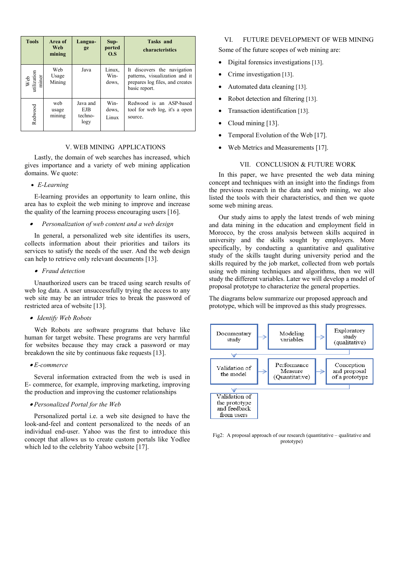| <b>Tools</b>                | Area of<br>Web<br>mining | Langua-<br>ge                             | Sup-<br>ported<br>O.S   | <b>Tasks and</b><br>characteristics                                                                               |
|-----------------------------|--------------------------|-------------------------------------------|-------------------------|-------------------------------------------------------------------------------------------------------------------|
| Web<br>utilization<br>miner | Web<br>Usage<br>Mining   | Java                                      | Linux,<br>Win-<br>dows. | It discovers the navigation<br>patterns, visualization and it<br>prepares log files, and creates<br>basic report. |
| Redwood                     | web<br>usage<br>mining   | Java and<br><b>EJB</b><br>techno-<br>logy | Win-<br>dows.<br>Linux  | Redwood is an ASP-based<br>tool for web log, it's a open<br>source.                                               |

#### V. WEB MINING APPLICATIONS

Lastly, the domain of web searches has increased, which gives importance and a variety of web mining application domains. We quote:

#### • *E-Learning*

E-learning provides an opportunity to learn online, this area has to exploit the web mining to improve and increase the quality of the learning process encouraging users [16].

## • *Personalization of web content and a web design*

In general, a personalized web site identifies its users, collects information about their priorities and tailors its services to satisfy the needs of the user. And the web design can help to retrieve only relevant documents [13].

#### • *Fraud detection*

Unauthorized users can be traced using search results of web log data. A user unsuccessfully trying the access to any web site may be an intruder tries to break the password of restricted area of website [13].

#### • *Identify Web Robots*

Web Robots are software programs that behave like human for target website. These programs are very harmful for websites because they may crack a password or may breakdown the site by continuous fake requests [13].

#### • *E-commerce*

Several information extracted from the web is used in E- commerce, for example, improving marketing, improving the production and improving the customer relationships

#### • *Personalized Portal for the Web*

Personalized portal i.e. a web site designed to have the look-and-feel and content personalized to the needs of an individual end-user. Yahoo was the first to introduce this concept that allows us to create custom portals like Yodlee which led to the celebrity Yahoo website [17].

#### VI. FUTURE DEVELOPMENT OF WEB MINING

Some of the future scopes of web mining are:

- Digital forensics investigations [13].
- Crime investigation [13].
- Automated data cleaning [13].
- Robot detection and filtering [13].
- Transaction identification [13].
- Cloud mining [13].
- Temporal Evolution of the Web [17].
- Web Metrics and Measurements [17].

#### VII. CONCLUSION & FUTURE WORK

In this paper, we have presented the web data mining concept and techniques with an insight into the findings from the previous research in the data and web mining, we also listed the tools with their characteristics, and then we quote some web mining areas.

Our study aims to apply the latest trends of web mining and data mining in the education and employment field in Morocco, by the cross analysis between skills acquired in university and the skills sought by employers. More specifically, by conducting a quantitative and qualitative study of the skills taught during university period and the skills required by the job market, collected from web portals using web mining techniques and algorithms, then we will study the different variables. Later we will develop a model of proposal prototype to characterize the general properties.

The diagrams below summarize our proposed approach and prototype, which will be improved as this study progresses.



Fig2: A proposal approach of our research (quantitative – qualitative and prototype)